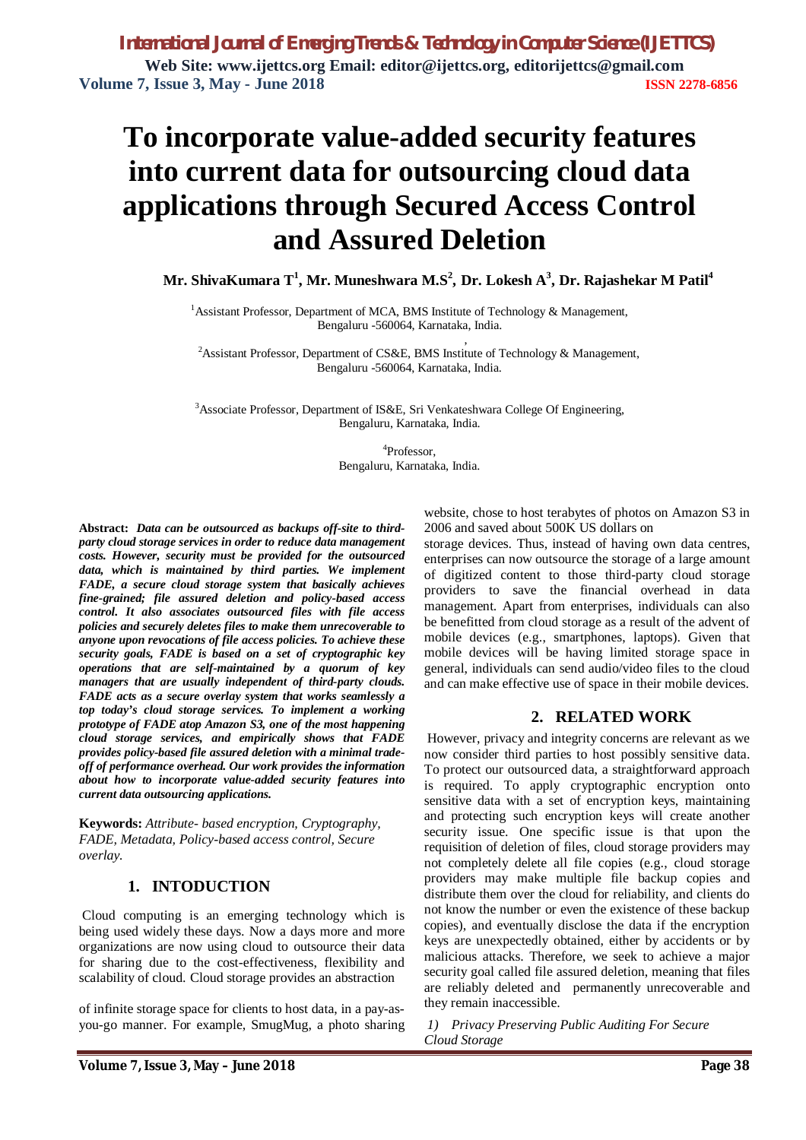*International Journal of Emerging Trends & Technology in Computer Science (IJETTCS)* **Web Site: [www.ijettcs.org](http://www.ijettcs.org) Email: editor@ijettcs.org, [editorijettcs@gmail.com](mailto:editorijettcs@gmail.com)  Volume 7, Issue 3, May - June 2018 ISSN 2278-6856**

# **To incorporate value-added security features into current data for outsourcing cloud data applications through Secured Access Control and Assured Deletion**

 **Mr. ShivaKumara T 1 , Mr. Muneshwara M.S<sup>2</sup> , Dr. Lokesh A 3 , Dr. Rajashekar M Patil<sup>4</sup>**

<sup>1</sup> Assistant Professor, Department of MCA, BMS Institute of Technology & Management, Bengaluru -560064, Karnataka, India. ,

<sup>2</sup>Assistant Professor, Department of CS&E, BMS Institute of Technology & Management, Bengaluru -560064, Karnataka, India.

<sup>3</sup>Associate Professor, Department of IS&E, Sri Venkateshwara College Of Engineering, Bengaluru, Karnataka, India.

> 4 Professor, Bengaluru, Karnataka, India.

**Abstract:** *Data can be outsourced as backups off-site to thirdparty cloud storage services in order to reduce data management costs. However, security must be provided for the outsourced data, which is maintained by third parties. We implement FADE, a secure cloud storage system that basically achieves fine-grained; file assured deletion and policy-based access control. It also associates outsourced files with file access policies and securely deletes files to make them unrecoverable to anyone upon revocations of file access policies. To achieve these security goals, FADE is based on a set of cryptographic key operations that are self-maintained by a quorum of key managers that are usually independent of third-party clouds. FADE acts as a secure overlay system that works seamlessly a top today's cloud storage services. To implement a working prototype of FADE atop Amazon S3, one of the most happening cloud storage services, and empirically shows that FADE provides policy-based file assured deletion with a minimal tradeoff of performance overhead. Our work provides the information about how to incorporate value-added security features into current data outsourcing applications.*

**Keywords:** *Attribute- based encryption, Cryptography, FADE, Metadata, Policy-based access control, Secure overlay.*

# **1. INTODUCTION**

Cloud computing is an emerging technology which is being used widely these days. Now a days more and more organizations are now using cloud to outsource their data for sharing due to the cost-effectiveness, flexibility and scalability of cloud. Cloud storage provides an abstraction

of infinite storage space for clients to host data, in a pay-asyou-go manner. For example, SmugMug, a photo sharing website, chose to host terabytes of photos on Amazon S3 in 2006 and saved about 500K US dollars on

storage devices. Thus, instead of having own data centres, enterprises can now outsource the storage of a large amount of digitized content to those third-party cloud storage providers to save the financial overhead in data management. Apart from enterprises, individuals can also be benefitted from cloud storage as a result of the advent of mobile devices (e.g., smartphones, laptops). Given that mobile devices will be having limited storage space in general, individuals can send audio/video files to the cloud and can make effective use of space in their mobile devices.

### **2. RELATED WORK**

However, privacy and integrity concerns are relevant as we now consider third parties to host possibly sensitive data. To protect our outsourced data, a straightforward approach is required. To apply cryptographic encryption onto sensitive data with a set of encryption keys, maintaining and protecting such encryption keys will create another security issue. One specific issue is that upon the requisition of deletion of files, cloud storage providers may not completely delete all file copies (e.g., cloud storage providers may make multiple file backup copies and distribute them over the cloud for reliability, and clients do not know the number or even the existence of these backup copies), and eventually disclose the data if the encryption keys are unexpectedly obtained, either by accidents or by malicious attacks. Therefore, we seek to achieve a major security goal called file assured deletion, meaning that files are reliably deleted and permanently unrecoverable and they remain inaccessible.

*1) Privacy Preserving Public Auditing For Secure Cloud Storage*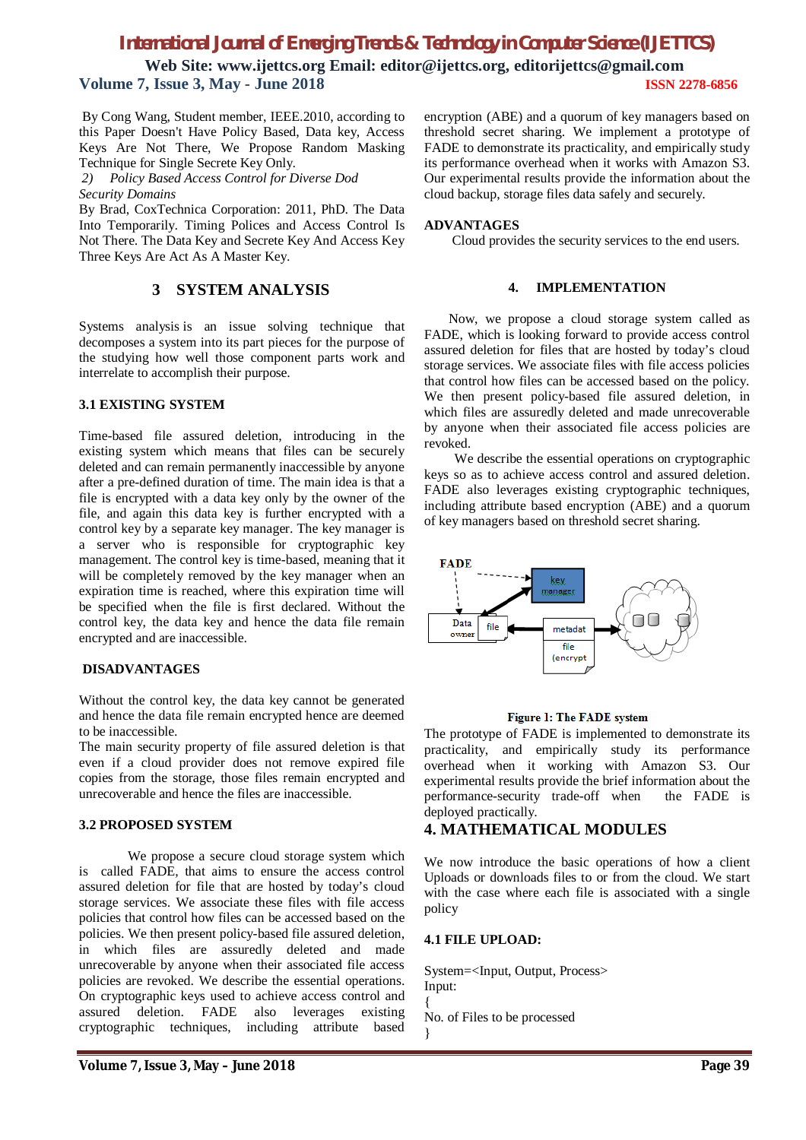# *International Journal of Emerging Trends & Technology in Computer Science (IJETTCS)*

**Web Site: [www.ijettcs.org](http://www.ijettcs.org) Email: editor@ijettcs.org, [editorijettcs@gmail.com](mailto:editorijettcs@gmail.com)  Volume 7, Issue 3, May - June 2018 ISSN 2278-6856**

By Cong Wang, Student member, IEEE.2010, according to this Paper Doesn't Have Policy Based, Data key, Access Keys Are Not There, We Propose Random Masking Technique for Single Secrete Key Only.

*2) Policy Based Access Control for Diverse Dod Security Domains*

By Brad, CoxTechnica Corporation: 2011, PhD. The Data Into Temporarily. Timing Polices and Access Control Is Not There. The Data Key and Secrete Key And Access Key Three Keys Are Act As A Master Key.

# **3 SYSTEM ANALYSIS**

Systems analysis is an issue solving technique that decomposes a system into its part pieces for the purpose of the studying how well those component parts work and interrelate to accomplish their purpose.

### **3.1 EXISTING SYSTEM**

Time-based file assured deletion, introducing in the existing system which means that files can be securely deleted and can remain permanently inaccessible by anyone after a pre-defined duration of time. The main idea is that a file is encrypted with a data key only by the owner of the file, and again this data key is further encrypted with a control key by a separate key manager. The key manager is a server who is responsible for cryptographic key management. The control key is time-based, meaning that it will be completely removed by the key manager when an expiration time is reached, where this expiration time will be specified when the file is first declared. Without the control key, the data key and hence the data file remain encrypted and are inaccessible.

### **DISADVANTAGES**

Without the control key, the data key cannot be generated and hence the data file remain encrypted hence are deemed to be inaccessible.

The main security property of file assured deletion is that even if a cloud provider does not remove expired file copies from the storage, those files remain encrypted and unrecoverable and hence the files are inaccessible.

### **3.2 PROPOSED SYSTEM**

We propose a secure cloud storage system which is called FADE, that aims to ensure the access control assured deletion for file that are hosted by today's cloud storage services. We associate these files with file access policies that control how files can be accessed based on the policies. We then present policy-based file assured deletion, in which files are assuredly deleted and made unrecoverable by anyone when their associated file access policies are revoked. We describe the essential operations. On cryptographic keys used to achieve access control and assured deletion. FADE also leverages existing cryptographic techniques, including attribute based

encryption (ABE) and a quorum of key managers based on threshold secret sharing. We implement a prototype of FADE to demonstrate its practicality, and empirically study its performance overhead when it works with Amazon S3. Our experimental results provide the information about the cloud backup, storage files data safely and securely.

#### **ADVANTAGES**

Cloud provides the security services to the end users.

#### **4. IMPLEMENTATION**

Now, we propose a cloud storage system called as FADE, which is looking forward to provide access control assured deletion for files that are hosted by today's cloud storage services. We associate files with file access policies that control how files can be accessed based on the policy. We then present policy-based file assured deletion, in which files are assuredly deleted and made unrecoverable by anyone when their associated file access policies are revoked.

 We describe the essential operations on cryptographic keys so as to achieve access control and assured deletion. FADE also leverages existing cryptographic techniques, including attribute based encryption (ABE) and a quorum of key managers based on threshold secret sharing.



#### Figure 1: The FADE system

The prototype of FADE is implemented to demonstrate its practicality, and empirically study its performance overhead when it working with Amazon S3. Our experimental results provide the brief information about the performance-security trade-off when the FADE is deployed practically.

# **4. MATHEMATICAL MODULES**

We now introduce the basic operations of how a client Uploads or downloads files to or from the cloud. We start with the case where each file is associated with a single policy

### **4.1 FILE UPLOAD:**

System=<Input, Output, Process> Input: {

No. of Files to be processed

```
}
```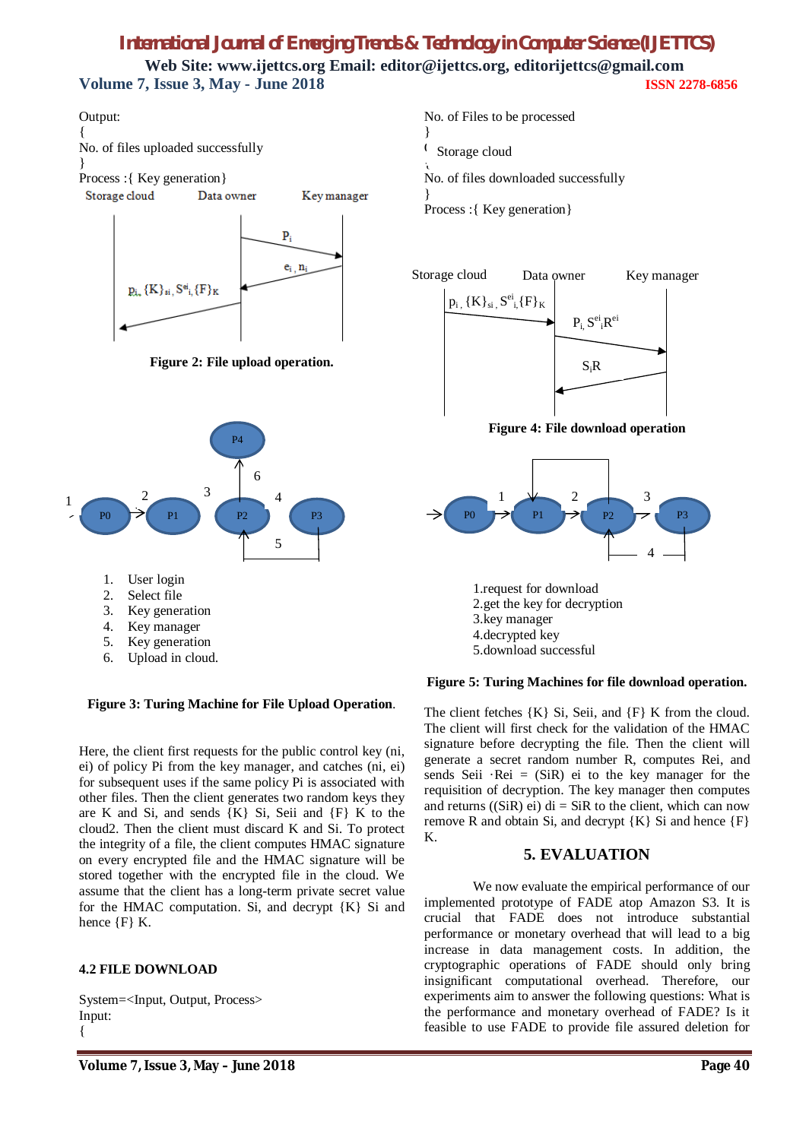# *International Journal of Emerging Trends & Technology in Computer Science (IJETTCS)* **Web Site: [www.ijettcs.org](http://www.ijettcs.org) Email: editor@ijettcs.org, [editorijettcs@gmail.com](mailto:editorijettcs@gmail.com)  Volume 7, Issue 3, May - June 2018 ISSN 2278-6856**





**Figure 3: Turing Machine for File Upload Operation**.

Here, the client first requests for the public control key (ni, ei) of policy Pi from the key manager, and catches (ni, ei) for subsequent uses if the same policy Pi is associated with other files. Then the client generates two random keys they are K and Si, and sends  ${K}$  Si, Seii and  ${F}$  K to the cloud2. Then the client must discard K and Si. To protect the integrity of a file, the client computes HMAC signature on every encrypted file and the HMAC signature will be stored together with the encrypted file in the cloud. We assume that the client has a long-term private secret value for the HMAC computation. Si, and decrypt {K} Si and hence  ${F}$  K.

# **4.2 FILE DOWNLOAD**

System=<Input, Output, Process> Input: {



No. of files downloaded successfully

} Process :{ Key generation}





1.request for download 2.get the key for decryption 3.key manager 4.decrypted key 5.download successful

# **Figure 5: Turing Machines for file download operation.**

The client fetches  ${K}$  Si, Seii, and  ${F}$  K from the cloud. The client will first check for the validation of the HMAC signature before decrypting the file. Then the client will generate a secret random number R, computes Rei, and sends Seii  $\text{Rei} = (\text{SiR})$  ei to the key manager for the requisition of decryption. The key manager then computes and returns  $((SiR)$  ei) di = SiR to the client, which can now remove R and obtain Si, and decrypt  ${K}$  Si and hence  ${F}$ K.

# **5. EVALUATION**

We now evaluate the empirical performance of our implemented prototype of FADE atop Amazon S3. It is crucial that FADE does not introduce substantial performance or monetary overhead that will lead to a big increase in data management costs. In addition, the cryptographic operations of FADE should only bring insignificant computational overhead. Therefore, our experiments aim to answer the following questions: What is the performance and monetary overhead of FADE? Is it feasible to use FADE to provide file assured deletion for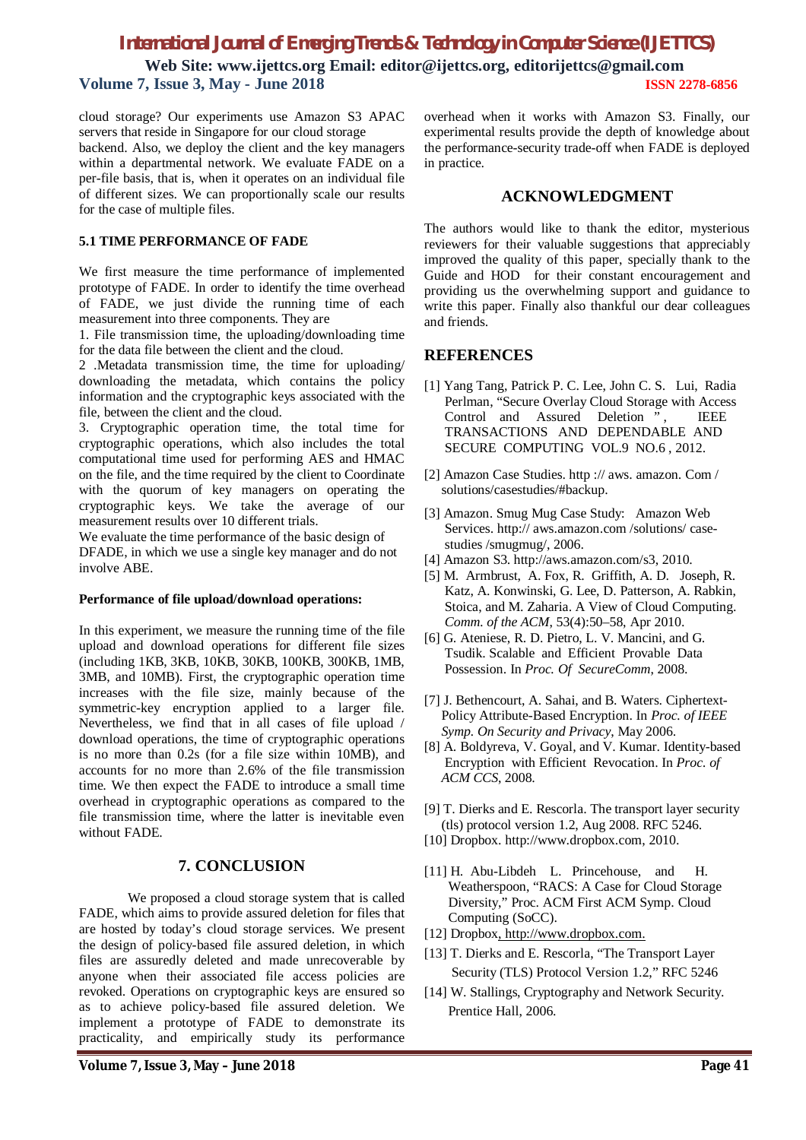# *International Journal of Emerging Trends & Technology in Computer Science (IJETTCS)*

**Web Site: [www.ijettcs.org](http://www.ijettcs.org) Email: editor@ijettcs.org, [editorijettcs@gmail.com](mailto:editorijettcs@gmail.com)  Volume 7, Issue 3, May - June 2018 ISSN 2278-6856**

cloud storage? Our experiments use Amazon S3 APAC servers that reside in Singapore for our cloud storage backend. Also, we deploy the client and the key managers within a departmental network. We evaluate FADE on a per-file basis, that is, when it operates on an individual file of different sizes. We can proportionally scale our results for the case of multiple files.

### **5.1 TIME PERFORMANCE OF FADE**

We first measure the time performance of implemented prototype of FADE. In order to identify the time overhead of FADE, we just divide the running time of each measurement into three components. They are

1. File transmission time, the uploading/downloading time for the data file between the client and the cloud.

2 .Metadata transmission time, the time for uploading/ downloading the metadata, which contains the policy information and the cryptographic keys associated with the file, between the client and the cloud.

3. Cryptographic operation time, the total time for cryptographic operations, which also includes the total computational time used for performing AES and HMAC on the file, and the time required by the client to Coordinate with the quorum of key managers on operating the cryptographic keys. We take the average of our measurement results over 10 different trials.

We evaluate the time performance of the basic design of DFADE, in which we use a single key manager and do not involve ABE.

### **Performance of file upload/download operations:**

In this experiment, we measure the running time of the file upload and download operations for different file sizes (including 1KB, 3KB, 10KB, 30KB, 100KB, 300KB, 1MB, 3MB, and 10MB). First, the cryptographic operation time increases with the file size, mainly because of the symmetric-key encryption applied to a larger file. Nevertheless, we find that in all cases of file upload / download operations, the time of cryptographic operations is no more than 0.2s (for a file size within 10MB), and accounts for no more than 2.6% of the file transmission time. We then expect the FADE to introduce a small time overhead in cryptographic operations as compared to the file transmission time, where the latter is inevitable even without FADE.

# **7. CONCLUSION**

We proposed a cloud storage system that is called FADE, which aims to provide assured deletion for files that are hosted by today's cloud storage services. We present the design of policy-based file assured deletion, in which files are assuredly deleted and made unrecoverable by anyone when their associated file access policies are revoked. Operations on cryptographic keys are ensured so as to achieve policy-based file assured deletion. We implement a prototype of FADE to demonstrate its practicality, and empirically study its performance

overhead when it works with Amazon S3. Finally, our experimental results provide the depth of knowledge about the performance-security trade-off when FADE is deployed in practice.

### **ACKNOWLEDGMENT**

The authors would like to thank the editor, mysterious reviewers for their valuable suggestions that appreciably improved the quality of this paper, specially thank to the Guide and HOD for their constant encouragement and providing us the overwhelming support and guidance to write this paper. Finally also thankful our dear colleagues and friends.

# **REFERENCES**

- [1] Yang Tang, Patrick P. C. Lee, John C. S. Lui, Radia Perlman, "Secure Overlay Cloud Storage with Access Control and Assured Deletion ", IEEE TRANSACTIONS AND DEPENDABLE AND SECURE COMPUTING VOL.9 NO.6 , 2012.
- [2] Amazon Case Studies. http :// aws. amazon. Com / solutions/casestudies/#backup.
- [3] Amazon. Smug Mug Case Study: Amazon Web Services.<http://> aws.amazon.com /solutions/ case studies /smugmug/, 2006.
- [4] Amazon S3.<http://aws.amazon.com/s3,> 2010.
- [5] M. Armbrust, A. Fox, R. Griffith, A. D. Joseph, R. Katz, A. Konwinski, G. Lee, D. Patterson, A. Rabkin, Stoica, and M. Zaharia. A View of Cloud Computing. *Comm. of the ACM*, 53(4):50–58, Apr 2010.
- [6] G. Ateniese, R. D. Pietro, L. V. Mancini, and G. Tsudik. Scalable and Efficient Provable Data Possession. In *Proc. Of SecureComm*, 2008.
- [7] J. Bethencourt, A. Sahai, and B. Waters. Ciphertext- Policy Attribute-Based Encryption. In *Proc. of IEEE Symp. On Security and Privacy*, May 2006.
- [8] A. Boldyreva, V. Goyal, and V. Kumar. Identity-based Encryption with Efficient Revocation. In *Proc. of ACM CCS*, 2008.
- [9] T. Dierks and E. Rescorla. The transport layer security (tls) protocol version 1.2, Aug 2008. RFC 5246.
- [10] Dropbox. <http://www.dropbox.com,> 2010.
- [11] H. Abu-Libdeh L. Princehouse, and H. Weatherspoon, "RACS: A Case for Cloud Storage Diversity," Proc. ACM First ACM Symp. Cloud Computing (SoCC).
- [12] Dropbox, <http://www.dropbox.com.>
- [13] T. Dierks and E. Rescorla, "The Transport Layer Security (TLS) Protocol Version 1.2," RFC 5246
- [14] W. Stallings, Cryptography and Network Security. Prentice Hall, 2006.